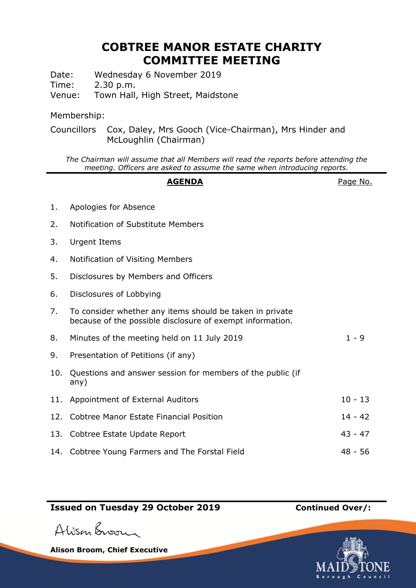## **COBTREE MANOR ESTATE CHARITY COMMITTEE MEETING**

Date: Wednesday 6 November 2019

Time: 2.30 p.m.

Venue: Town Hall, High Street, Maidstone

Membership:

Councillors Cox, Daley, Mrs Gooch (Vice-Chairman), Mrs Hinder and McLoughlin (Chairman)

*The Chairman will assume that all Members will read the reports before attending the meeting. Officers are asked to assume the same when introducing reports.*

|     | <b>AGENDA</b>                                                                                                         | Page No.  |
|-----|-----------------------------------------------------------------------------------------------------------------------|-----------|
| 1.  | Apologies for Absence                                                                                                 |           |
| 2.  | Notification of Substitute Members                                                                                    |           |
| 3.  | <b>Urgent Items</b>                                                                                                   |           |
| 4.  | Notification of Visiting Members                                                                                      |           |
| 5.  | Disclosures by Members and Officers                                                                                   |           |
| 6.  | Disclosures of Lobbying                                                                                               |           |
| 7.  | To consider whether any items should be taken in private<br>because of the possible disclosure of exempt information. |           |
| 8.  | Minutes of the meeting held on 11 July 2019                                                                           | $1 - 9$   |
| 9.  | Presentation of Petitions (if any)                                                                                    |           |
| 10. | Questions and answer session for members of the public (if<br>any)                                                    |           |
| 11. | Appointment of External Auditors                                                                                      | $10 - 13$ |
| 12. | <b>Cobtree Manor Estate Financial Position</b>                                                                        | $14 - 42$ |
| 13. | Cobtree Estate Update Report                                                                                          | $43 - 47$ |
| 14. | Cobtree Young Farmers and The Forstal Field                                                                           | $48 - 56$ |

## **Issued on Tuesday 29 October 2019 Continued Over/:**

Alisan Broom

**Alison Broom, Chief Executive**